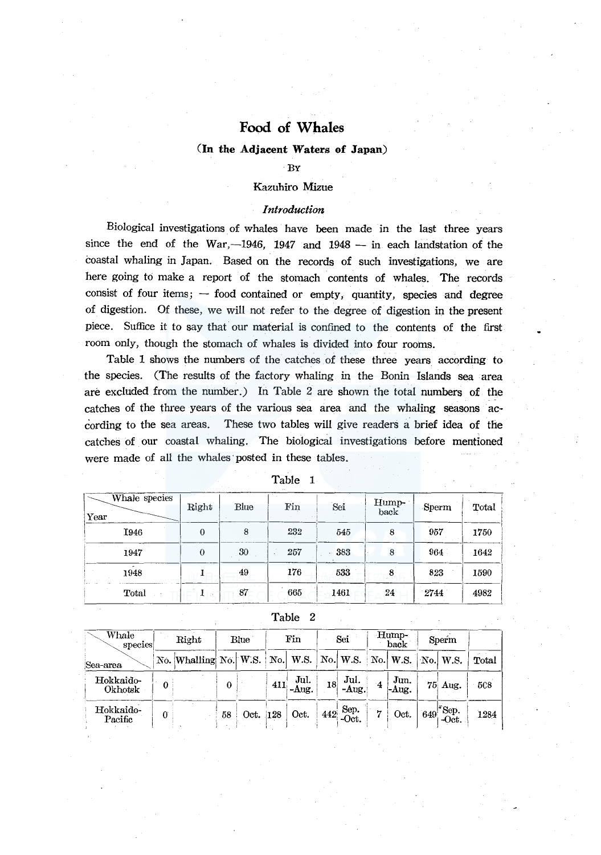### **(In the Adjacent Waters of Japan)**

### BY

### Kazuhiro Mizue

### *Introduction*

Biological investigations of whales have been made in the last three years since the end of the War,  $-1946$ , 1947 and 1948 - in each landstation of the coastal whaling in Japan. Based on the records of such investigations, we are here going to make a report of the stomach contents of whales. The records consist of four items;  $-$  food contained or empty, quantity, species and degree of digestion. Of these, we will not refer to the degree of digestion in the present piece. Suffice it to say that our material is confined to the contents of the first room only, though the stomach of whales is divided into four rooms.

Table 1 shows the numbers of the catches of these three years according to the species. (The results of the factory whaling in the Bonin Islands sea area are excluded from the number.) In Table 2 are shown the total numbers of the catches of the three years of the various sea area and the whaling seasons according to the sea areas. These two tables will give readers a brief idea of the catches of our coastal whaling. The biological investigations before mentioned were made of all the whales· posted in these tables.

| Whale species<br>Year | Right    | Blue | Fin | Sei  | Hump-<br>back | Sperm | Total |
|-----------------------|----------|------|-----|------|---------------|-------|-------|
| I946                  | $\theta$ | 8    | 232 | 545  | 8             | 957   | 1750  |
| 1947                  | $\theta$ | 30   | 257 | 383  | 8             | 964   | 1642  |
| 1948                  |          | 49   | 176 | 533  |               | 823   | 1590  |
| Total                 |          | 87   | 665 | 1461 | 24            | 2744  | 4982  |

Table 1

Table 2

| Whale<br>species     |   | Right                                                                     |    | Blue     | Fin                              |    | Sei                                                           |                | Hump-<br>back               | Sperm                           |       |
|----------------------|---|---------------------------------------------------------------------------|----|----------|----------------------------------|----|---------------------------------------------------------------|----------------|-----------------------------|---------------------------------|-------|
| Sea-area             |   | No. Whalling No. W.S.   No.   W.S.   No.   W.S.   No.   W.S.   No.   W.S. |    |          |                                  |    |                                                               |                |                             |                                 | Total |
| Hokkaido-<br>Okhotsk | 0 |                                                                           | 0  |          | Jul.<br>$\left 411\right $ -Aug. | 18 | Jul.<br>-Aug.                                                 | $\cdot$ 4      | $ $ Jun.<br>$\mathsf{Aug}.$ | 75 Aug.                         | 508   |
| Hokkaido-<br>Pacific | 0 |                                                                           | 58 | Oct. 128 | Oct.                             |    | $442 \begin{array}{c} \text{Sep.} \\ \text{Oct.} \end{array}$ | $\overline{7}$ | $\circ$ Oct.                | $649$ <sup>-Sep.</sup><br>-Oct. | 1284  |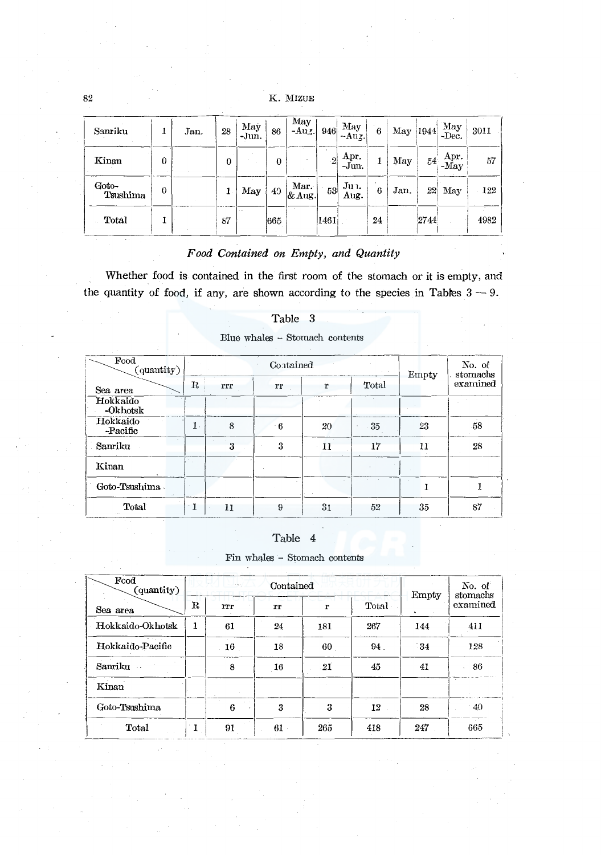| Sanriku           | A.       | Jan. | 28       | May<br>-Jun. | 86  | May<br>$-Auz.$   | 946            | May<br>$-Auz.$            | 6      | May  | 1944 | May<br>-Dec.   | 3011 |
|-------------------|----------|------|----------|--------------|-----|------------------|----------------|---------------------------|--------|------|------|----------------|------|
| Kinan             | $\theta$ |      | $\Omega$ |              | 0   |                  | $\overline{2}$ | Apr.<br>-Jun.             | 1      | May  | 54.  | Apr.<br>$-May$ | 57   |
| Goto-<br>Tsushima | $\Omega$ |      |          | May          | 49  | Mar.<br>$&$ Aug. | 53             | Ju <sub>1</sub> .<br>Aug. | ٠<br>6 | Jan. | 22   | May            | 122  |
| Total             |          |      | 87       |              | 665 |                  | 1461           |                           | 24     |      | 2744 |                | 4982 |

# *Food Contained on Empty, and Quantity*

Whether food is contained in the first room of the stomach or it is empty, and the quantity of food, if any, are shown according to the species in Tables  $3 - 9$ .

| Food<br>(quantity)   |                |     | Contained |                |       | Empty | No. of<br>stomachs |
|----------------------|----------------|-----|-----------|----------------|-------|-------|--------------------|
| Sea area             | $_{\rm R}$     | rrr | rr        | r              | Total |       | examined           |
| Hokkaido<br>-Okhotsk |                |     |           |                |       |       |                    |
| Hokkaido<br>-Pacific | $\mathbf{1}$ . | 8   | - 6       | 20             | $-35$ | 23    | 58                 |
| Sanriku              |                | 3   | 3         | 11             | 17    | 11    | 28                 |
| Kinan                |                |     |           |                |       |       |                    |
| Goto-Tsushima        |                |     |           |                | - 72  |       |                    |
| Total                | $^{\cdot}$ 1   | 11  | 9         | 3 <sub>1</sub> | 52    | 35    | 87                 |

### Table 3

Blue whales  $\sim$  Stomach contents

### Table 4

Fin whales - Stomach contents

| Food<br>(quantity) |             | de legi         | Contained |     |       | Empty      | No. of<br>stomachs<br>examined |
|--------------------|-------------|-----------------|-----------|-----|-------|------------|--------------------------------|
| Sea area           | $\mathbf R$ | rrr             | rr        | r   | Total |            |                                |
| Hokkaido-Okhotsk   | 1           | 61              | 24        | 181 | 267   | 144        | 411                            |
| Hokkaido-Pacific   |             | 16              | 18        | 60  | 94.   | $\cdot$ 34 | 128                            |
| Sanriku ·          |             | 8               | 16        | -21 | 45    | 41         | 86                             |
| Kinan              |             |                 |           |     |       |            |                                |
| Goto-Tsushima      |             | $\alpha$ .<br>6 | 3         | 3   | 12    | 28         | $-40$                          |
| Total              | 1           | 91              | $61 -$    | 265 | 418   | 247        | 665                            |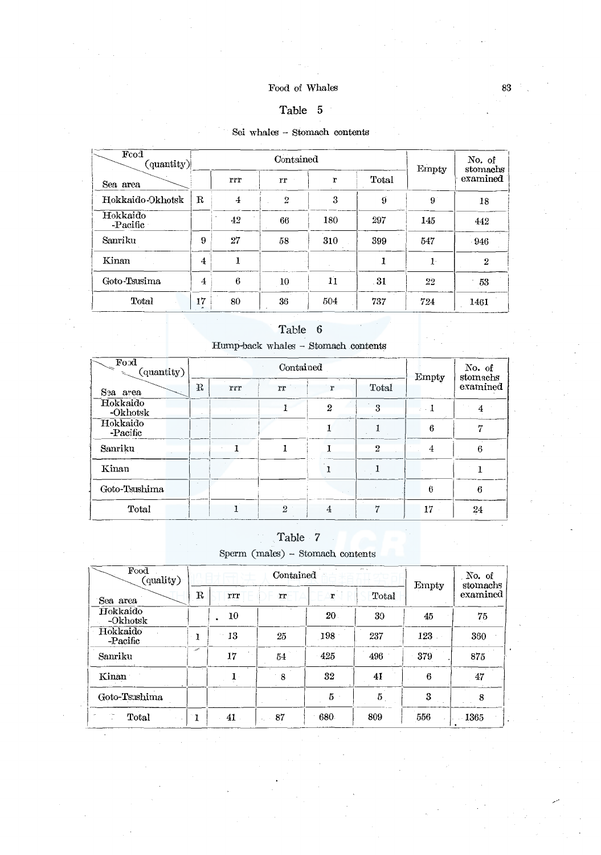## $\mathop{\mathrm{Food}}$  of Whales

# Table 5

# Sei whales  $\sim$  Stomach contents

| Fcod<br>${\rm (quantity)}$ |                      |     | Contained      |     |       | Empty       | No. of<br>stomachs |
|----------------------------|----------------------|-----|----------------|-----|-------|-------------|--------------------|
| Sea area                   |                      | rrr | rr             | r   | Total |             | examined           |
| Hokkaido-Okhotsk           | $\mathbf R$          | 4   | $\overline{2}$ | 3   | 9     | $9^{\circ}$ | 18                 |
| Hokkaido<br>-Pacific       |                      | 42  | 66             | 180 | 297   | 145         | 442                |
| Sanriku                    | 9                    | 27  | 58             | 310 | 399   | 547         | $-946$             |
| Kinan                      | 4                    |     |                |     |       | $1 -$       | $\overline{2}$     |
| Goto-Tsusima               | 4                    | 6   | 10             | 11  | - 31  | 22          | 53                 |
| Total                      | 17<br>$\overline{a}$ | 80  | 36             | 504 | 737   | 724         | 1461               |

# Table 6

 $\mbox{Hump-back}\,$  whales  $\sim$  Stomach contents

| Food<br>(quantity)   |            |     | Contained      |                                  |             | Empty    | No. of<br>stomachs |
|----------------------|------------|-----|----------------|----------------------------------|-------------|----------|--------------------|
| Sза area             | $_{\rm R}$ | rrr | rr             | r                                | Total       |          | examined           |
| Hokkaido<br>-Okhotsk |            |     |                | $\boldsymbol{2}$<br>$\mathbf{r}$ | $\mathbf Q$ | $\sim 1$ | 4                  |
| Hokkaido<br>-Pacific |            |     |                | --                               |             | 6        | 17                 |
| Sanriku              |            |     |                |                                  | 2           | 4        | 6                  |
| Kinan                |            |     |                |                                  |             |          |                    |
| Goto-Tsushima        |            |     |                |                                  |             | 6        | 6                  |
| Total                |            |     | $\overline{2}$ | 4                                | ٣           | 17       | 24                 |

# Table 7

Sperm (males) - Stomach contents

| Food<br>(quality)    |            |     | Contained |     | es a  | Empty | No. of<br>stomachs |
|----------------------|------------|-----|-----------|-----|-------|-------|--------------------|
| Sea area             | $_{\rm R}$ | rrr | rr        | r   | Total |       | examined           |
| Hokkaido<br>-Okhotsk |            | 10  |           | 20  | 30    | 45    | 75                 |
| Hokkaido<br>-Pacific |            | 13  | 25        | 198 | 237   | 123   | 360                |
| Sanriku              | s          | 17  | 54        | 425 | 496   | 379   | 875                |
| Kinan                |            |     | 8         | 32  | 41    | 6     | 47                 |
| Goto-Tsushima        |            |     |           | 5   | 5     | 3     | 8                  |
| Total                | ı          | 41  | 87        | 680 | 809   | 556   | 1365               |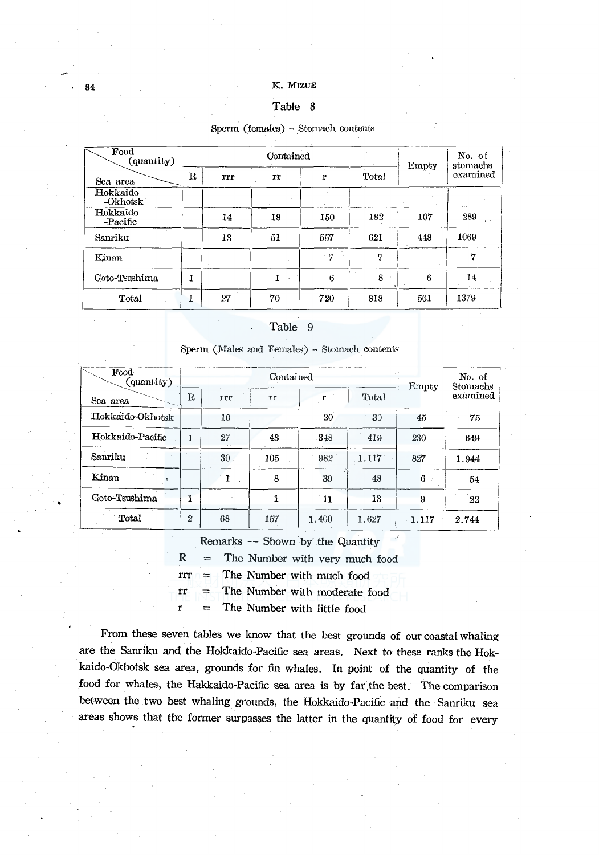### Table 8

### Sperm (females) - Stomach contents

|                      |            |     | Sperm (females) - Stomach contents |      |       |              |                    |
|----------------------|------------|-----|------------------------------------|------|-------|--------------|--------------------|
| Food<br>(quantity)   |            |     | Contained                          |      |       | <b>Empty</b> | No. of<br>stomachs |
| Sea area             | $_{\rm R}$ | rrr | rr                                 | r    | Total |              | oxamined           |
| Hokkaido<br>-Okhotsk |            |     |                                    |      |       |              |                    |
| Hokkaido<br>-Pacific |            | 14  | 18                                 | 150  | 182   | 107          | 289                |
| Sanriku              |            | 13  | 51                                 | 557  | 621   | 448          | 1069               |
| Kinan                |            |     |                                    | $-7$ | 7     |              | 7                  |
| Goto-Tsushima        | Ĩ.         |     | L                                  | 6    | 8     | 6            | 14                 |
| Total                | 1          | 27  | 70                                 | 720  | 818   | 561          | 1379               |

### Table 9

| Food<br>(quantity)     |                |                 | Contained |              |       | Empty    | No. of<br>Stomachs |  |
|------------------------|----------------|-----------------|-----------|--------------|-------|----------|--------------------|--|
| Sea area               | $\mathbf R$    | rrr             | rr        | r            | Total |          | examined           |  |
| Hokkaido-Okhotsk       |                | 10              |           | $20^{\circ}$ | 32    | 45       | 75 <sup>°</sup>    |  |
| Hokkaido-Pacific       | $1 \cdot$      | 27              | 43        | 348          | 419   | 230      | 649                |  |
| Sanriku                |                | 30 <sub>1</sub> | 105       | 982          | 1.117 | 827      | 1.944              |  |
| $\operatorname{Kinan}$ |                | 1               | $8 \cdot$ | 39           | 48    | 6        | 54                 |  |
| Goto-Tsushima          |                |                 |           | n            | 13    | 9        | 22                 |  |
| Total                  | $\overline{2}$ | 68              | 157       | 1.400        | 1.627 | $-1.117$ | 2.744              |  |

Remarks -- Shown by the Quantity

 $R =$  The Number with very much food

 $rrr =$  The Number with much food

 $rr =$  The Number with moderate food

 $r =$  The Number with little food

From these seven tables we know that the best grounds of our coastal whaling are the Sanriku and the Hokkaido-Pacific sea areas. Next to these ranks the Hokkaido-Okhotsk sea area, grounds for fin whales. In Point of the quantity of the food for whales, the Hakkaido-Pacific sea area is by far the best. The comparison between the two best whaling grounds, the Hokkaido-Pacific and the Sanriku sea areas shows that the former surpasses the latter in the quantity of food for every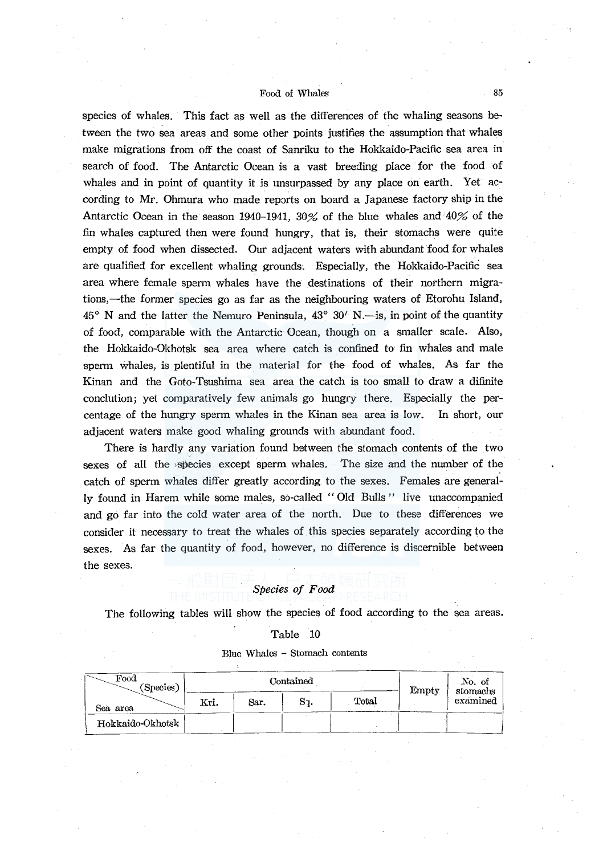species of whales. This fact as well as the differences of the whaling seasons between the two sea areas and some other points justifies the assumption that whales make migrations from off the coast of Sanriku to the Hokkaido-Pacific sea area in search of food. The Antarctic Ocean is a vast breeding place for the food of whales and in point of quantity it is unsurpassed by any place on earth. Yet according to Mr. Ohmura who made reports on board a Japanese factory ship in the Antarctic Ocean in the season 1940-1941, 30% of the blue whales and  $40\%$  of the fin whales captured then were found hungry, that is, their stomachs were quite empty of food when dissected. Our adjacent waters with abundant food for whales are qualified for excellent whaling grounds. Especially, the Hokkaido-Pacific sea area where female sperm whales have the destinations of their northern migrations,—the former species go as far as the neighbouring waters of Etorohu Island,  $45^{\circ}$  N and the latter the Nemuro Peninsula,  $43^{\circ}$  30' N.—is, in point of the quantity of food, comparable with the Antarctic Ocean, though on a smaller scale. Also, the Hokkaido-Okhotsk sea area where catch is confined to fin whales and male sperm whales, is plentiful in the material for the food of whales. As far the Kinan and the Goto-Tsushima sea area the catch is too small to draw a difinite conclution; yet comparatively few animals go hungry there. Especially the percentage of the hungry sperm whales in the Kinan sea area is low. In short, our adjacent waters make good whaling grounds with abundant food.

There is hardly any variation found between the stomach contents of the two sexes of all the ;species except sperm whales. The size and the number of the catch of sperm whales differ greatly according to the sexes. Females are generally found in Harem while some males, so-called '' Old Bulls '' live unaccompanied and go far into the cold water area of the north. Due to these differences we consider it necessary to treat the whales of this species separately according to the sexes. As far the quantity of food, however, no difference is discernible between the sexes.

# *Species of Food*

The following tables will show the species of food according to the sea areas.

Table 10

Blue Whales  $-$  Stomach contents

| $\operatorname{Food}$<br>(Species) |      |      | Contained |       | Empty | No. of<br>stomachs |
|------------------------------------|------|------|-----------|-------|-------|--------------------|
| Sea area                           | Kri. | Sar. | Sı.       | Total |       | examined           |
| Hokkaido-Okhotsk                   |      |      |           |       |       |                    |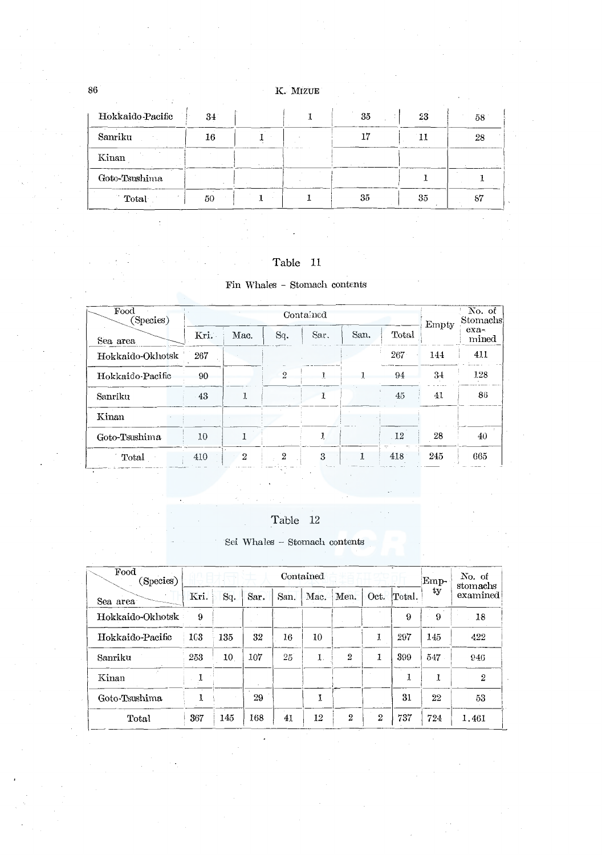| Hokkaido Pacific | 34 |  | 35 | 23 | 58 |
|------------------|----|--|----|----|----|
| Sanriku          | 16 |  | 17 |    | 28 |
| Kinan            |    |  |    |    |    |
| Goto-Tsushima    |    |  |    |    |    |
| 11.41<br>Total   | 50 |  | 35 | 35 | 87 |

# Table 11

# $\mathop{\text{\rm Fin}}\nolimits$  Whales – Stomach contents

| Food<br>(Species) |      |                |                | $\overline{\text{No}}$ of<br>Stomachs |      |       |       |                 |  |
|-------------------|------|----------------|----------------|---------------------------------------|------|-------|-------|-----------------|--|
| Sea area          | Kri. | Mac.           | Sq.            | Sar.                                  | San. | Total | Empty | $exa-$<br>mined |  |
| Hokkaido-Okhotsk  | 267  |                |                |                                       |      | 267   | 144   | 411             |  |
| Hokkaido-Pacific  | 90   |                | $\overline{2}$ |                                       |      | 94    | 34    | 128             |  |
| Sanriku           | 43   | 1              |                |                                       |      | 45    | 41    | 86              |  |
| Kinan             |      |                |                |                                       |      |       |       |                 |  |
| Goto-Tsushima     | 10   |                |                | 1                                     |      | 12    | 28    | 40              |  |
| Total             | 410  | $\overline{2}$ | $\overline{2}$ | 3                                     |      | 418   | 245   | 665             |  |

# Table 12

# Sei Whales  $\sim$  Stomach contents

| Food<br>(Species) | Contained |     |      |      |      |                |                |        | Emp- | No. of<br>stomachs |  |
|-------------------|-----------|-----|------|------|------|----------------|----------------|--------|------|--------------------|--|
| Sea area          | Kri.      | Sq. | Sar. | San. | Mac. | Men.           | Oct.           | Total. | ty   | examined           |  |
| Hokkaido-Okhotsk  | 9         |     |      |      |      |                |                | 9      | 9    | 18                 |  |
| Hokkaido-Pacific  | 103       | 135 | 32   | 16   | 10   |                | J.             | 297    | 145  | 422                |  |
| Sanriku           | 253       | 10  | 107  | 25   | 1.   | 2              | 1              | 399    | 547  | 946                |  |
| Kinan             |           |     |      |      |      |                |                | 1      | 1    | $\overline{2}$     |  |
| Goto Tsushima     | 1         |     | 29   |      | Y.   |                |                | 31     | 22   | 53                 |  |
| Total             | 367       | 145 | 168  | 41   | 12   | $\overline{2}$ | $\overline{2}$ | 737    | 724  | 1.461              |  |

86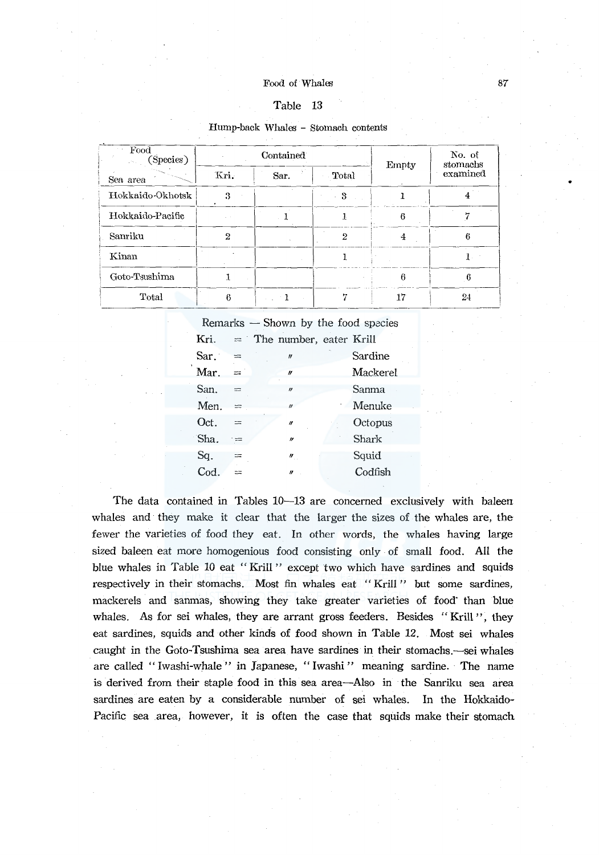### Table 13

### Hump-back Whales - Stomach contents

| Food<br>(Species)<br>$\mathcal{L}^{\text{L}}(\mathcal{C})$ |              | Contained | Empty         | No. of<br>stomachs |          |  |
|------------------------------------------------------------|--------------|-----------|---------------|--------------------|----------|--|
| Sea area                                                   | Kri.         | Sar.      | Total         |                    | examined |  |
| Hokkaido-Okhotsk                                           | 3            |           | 3             |                    |          |  |
| Hokkaido-Pacific                                           |              |           |               | 6                  |          |  |
| Sanriku                                                    | $\mathbf{2}$ |           | $\mathcal{D}$ | 4                  | 6        |  |
| Kinan                                                      |              |           |               |                    |          |  |
| Goto-Tsushima                                              |              |           |               | 6                  | 6        |  |
| Total                                                      | ß            |           |               | 17                 | 24       |  |

 $Remarks$   $-$  Shown by the food species  $Kri.$  = The number, eater Krill  $Sar. =$   $\sqrt{ }$  Sardine Mar.  $\approx$   $\blacksquare$  Mackerel  $San. =$   $/$  Sanma  $Men. =$   $Menuke$ Oct.  $=$   $\sqrt{ }$  Octopus  $\text{Sha.}$   $=$   $\prime$  Shark  $Sq. =$   $\prime$  Squid  $\text{Cod.}$  =  $\blacksquare$   $\blacksquare$   $\blacksquare$   $\blacksquare$   $\text{Codfish}$ 

The data contained in Tables 10-13 are concerned exclusively with baleen whales and they make it clear that the larger the sizes of the whales are, the fewer the varieties of food they eat. In other words, the whales having large sized baleen eat more homogenious food consisting only of small food. All the blue whales in Table 10 eat "Krill" except two which have sardines and squids respectively in their stomachs. Most fin whales eat "Krill" but some sardines, mackerels and sanmas, showing they take greater varieties of food than blue whales. As for sei whales, they are arrant gross feeders. Besides "Krill", they eat sardines, squids and other kinds of food shown in Table 12. Most sei whales caught in the Goto-Tsushima sea area have sardines in their stomachs.—sei whales are called "Iwashi-whale" in Japanese, "Iwashi" meaning sardine. The name is derived from their staple food in this sea area-Also in the Sanriku sea area sardines are eaten by a considerable number of sei whales. In the Hokkaido-Pacific sea area, however, it is often the case that squids make their stomach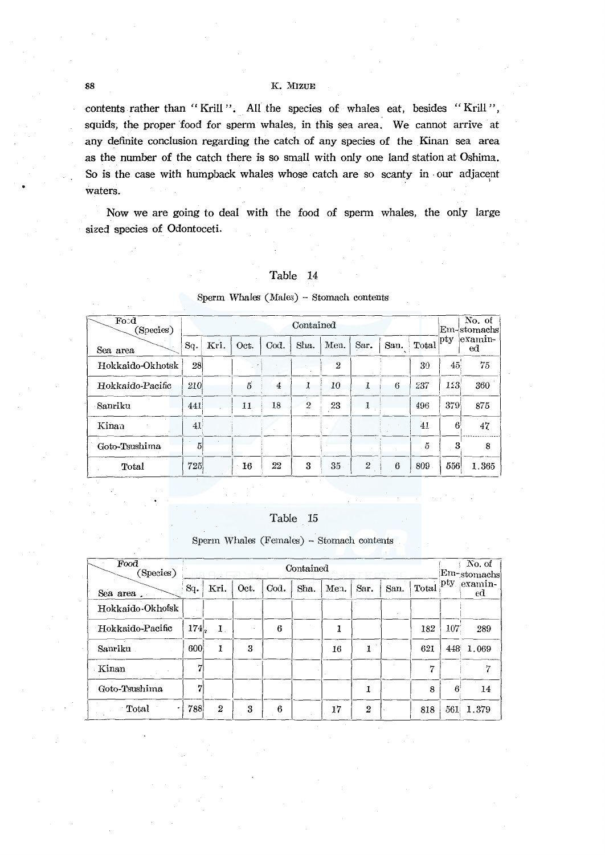contents rather than "Krill". All the species of whales eat, besides "Krill", squids, the proper food for sperm whales, in this sea area. We cannot arrive at any definite conclusion regarding the catch of any species of the Kinan sea area as the number of the catch there is so small with only one land station at Oshima. So is the case with humpback whales whose catch are so scanty in our adjacent waters.

Now we are going to deal with the food of sperm whales, the only large sized species of Odontoceti.

### Table 14

| Food<br>Species) |                 | Contained |      |      |                |      |                |      |                |                 | No. of<br>Em-stomachs |
|------------------|-----------------|-----------|------|------|----------------|------|----------------|------|----------------|-----------------|-----------------------|
| Sea area         | Sq.             | Kri.      | Oct. | Cod. | Sha.           | Men. | Sar.           | San. | Total          | $ $ pty         | examin-<br>ed         |
| Hokkaido-Okhotsk | 28 <sup>1</sup> |           |      |      |                | 2    |                |      | 39             | 45 <sub>1</sub> | 75                    |
| Hokkaido-Pacific | 210             |           | 5    | 4    | 1              | 10   | J.             | 6    | 237            | 123             | 360                   |
| -Sanriku         | 441             |           | 11   | 18   | $\overline{2}$ | 23   | 1              |      | 496            | 379             | 875                   |
| Kinaa            | 41              |           |      |      |                |      |                |      | 41             | $6^{\circ}$     | 47                    |
| Goto-Tsushima    | 5               |           |      |      |                |      |                |      | $\ddot{\rm a}$ | 3               | 8                     |
| Total            | 725             |           | 16   | 22   | 3              | 35   | $\overline{2}$ | 6    | 809            | 556             | 1.365                 |

### Sperm Whales (Males) - Stomach contents

### Table 15

Sperm Whales (Females) - Stomach contents

| Food<br>(Species) |      | Contained      |      |      |      |      |                |      |       |     | No. of<br>Em-stomachs |
|-------------------|------|----------------|------|------|------|------|----------------|------|-------|-----|-----------------------|
| Sea area.         | Sq.  | Kri.           | Oct. | Cod. | Sha. | Men. | Sar.           | San. | Total | pty | examin-<br>ed         |
| Hokkaido-Okhofsk  |      |                |      |      |      |      |                |      |       |     |                       |
| Hokkaido-Pacific  | 174. | 1.             |      | 6    |      |      |                |      | 182   | 107 | 289                   |
| Sanriku           | 600  | 1              | 3    |      |      | 16   |                |      | 621   | 448 | 1.069                 |
| Kinan             | 7    |                |      |      |      |      |                |      | 7     |     | 17                    |
| Goto-Tsushima     | 7    |                |      |      |      |      |                |      | 8     | 6   | 14                    |
| Total             | 788  | $\overline{2}$ | 3    | 6    |      | 17   | $\overline{2}$ |      | 818   | 561 | 1.379                 |

88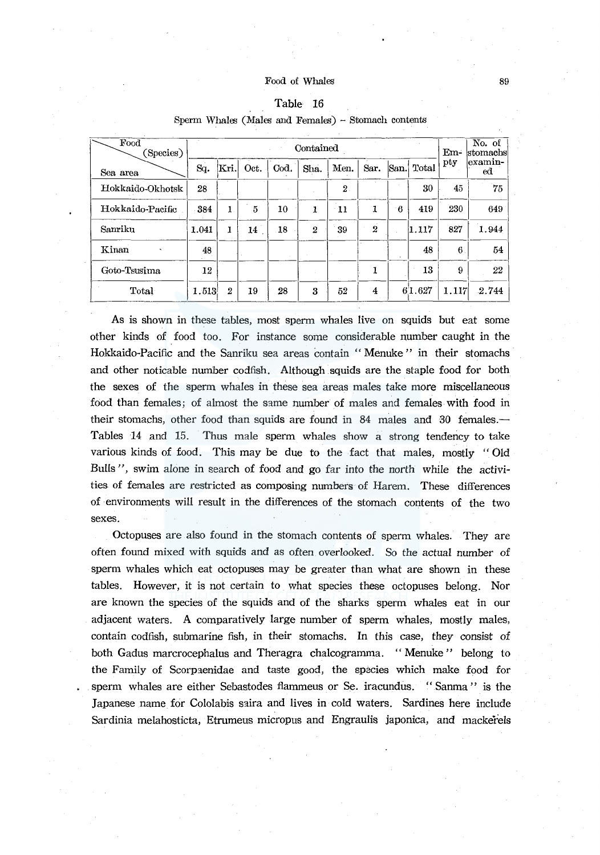| $\mathbf{Food}$<br>Species) |       |                  | $Em-$ | No. of<br> stomachs |                |                |                  |                |        |       |               |
|-----------------------------|-------|------------------|-------|---------------------|----------------|----------------|------------------|----------------|--------|-------|---------------|
| Sea area                    | Sq.   | Kri.             | Oct.  | Cod.                | Sha.           | Men.           | Sar.             | San.           | Total  | pty   | examin-<br>ed |
| Hokkaido-Okhotsk            | 28    |                  |       |                     |                | $\overline{2}$ |                  |                | 30     | 45    | 75            |
| Hokkaido-Pacific            | 384   | 1                | 5     | 10                  | 1              | - 11           | 1                | $\overline{6}$ | 419    | 230   | 649           |
| Sanriku                     | 1.041 | 1                | 14    | 18                  | $\overline{2}$ | 39             | $\boldsymbol{2}$ |                | 1.117  | 827   | 1.944         |
| Kinan                       | 48    |                  |       |                     |                |                |                  |                | 48     | 6     | 54            |
| Goto-Tsusima                | 12    |                  |       |                     |                |                |                  |                | 13     | 9     | 22            |
| Total                       | 1.513 | $\boldsymbol{2}$ | 19    | 28                  | 3              | 52             | 4                |                | 61.627 | 1.117 | 2.744         |

# Table 16

Sperm Whales (Males and Females) - Stomach contents

As is shown in these tables, most sperm whales live on squids but eat some other kinds of food too. For instance some considerable number caught in the Hokkaido-Pacific and the Sanriku sea areas contain "Menuke" in their stomachs and other noticable number codfish. Although squids are the staple food for both the sexes of the sperm whales in these sea areas males take more miscellaneous food than females; of almost the same number of males and females with food in their stomachs, other food than squids are found in 84 males and 30 females.— Tables 14 and 15. Thus male sperm whales show a strong tendency to take various kinds of food. This may be due to the fact that males, mostly "Old Bulls", swim alone in search of food and go far into the north while the activities of females are restricted as composing numbers of Harem. These differences of environments will result in the differences of the stomach contents of the two sexes.

Octopuses are also found in the stomach contents of sperm whales. They are often found mixed with squids and as often overlooked. So the actual number of sperm whales which eat octopuses may be greater than what are shown in these tables. However, it is not certain to what species these octopuses belong. Nor are known the species of the squids and of the sharks sperm whales eat in our adjacent waters. A comparatively large number of sperm whales, mostly males, contain codfish, submarine fish, in their stomachs. In this case, they consist of both Gadus marcrocephalus and Theragra chalcogramma. "Menuke" belong to the Family of Scorpaenidae and taste good, the species which make food for sperm whales are either Sebastodes flammeus or Se. iracundus. "Sanma" is the Japanese name for Cololabis saira and lives in cold waters. Sardines here include Sardinia melahosticta, Etrumeus micropus and Engraulis japonica, and mackerels